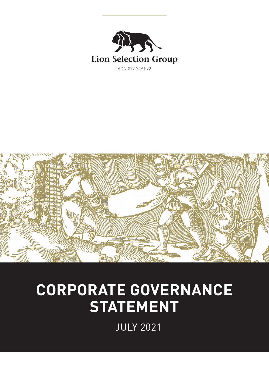



# **CORPORATE GOVERNANCE STATEMENT**

JULY 2021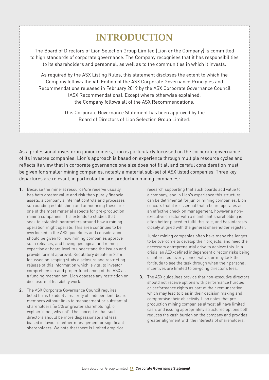# INTRODUCTION

The Board of Directors of Lion Selection Group Limited (Lion or the Company) is committed to high standards of corporate governance. The Company recognises that it has responsibilities to its shareholders and personnel, as well as to the communities in which it invests.

As required by the ASX Listing Rules, this statement discloses the extent to which the Company follows the 4th Edition of the ASX Corporate Governance Principles and Recommendations released in February 2019 by the ASX Corporate Governance Council (ASX Recommendations). Except where otherwise explained, the Company follows all of the ASX Recommendations.

> This Corporate Governance Statement has been approved by the Board of Directors of Lion Selection Group Limited.

As a professional investor in junior miners, Lion is particularly focussed on the corporate governance of its investee companies. Lion's approach is based on experience through multiple resource cycles and reflects its view that in corporate governance one size does not fit all and careful consideration must be given for smaller mining companies, notably a material sub-set of ASX listed companies. Three key departures are relevant, in particular for pre-production mining companies:

- **1.** Because the mineral resource/ore reserve usually has both greater value and risk than purely financial assets, a company's internal controls and processes surrounding establishing and announcing these are one of the most material aspects for pre-production mining companies. This extends to studies that seek to establish parameters around how a mining operation might operate. This area continues to be overlooked in the ASX guidelines and consideration should be given for how mining companies approve such releases, and having geological and mining expertise at board level to understand the issues and provide formal approval. Regulatory debate in 2016 focussed on scoping study disclosure and restricting release of this information which is vital to investor comprehension and proper functioning of the ASX as a funding mechanism. Lion opposes any restriction on disclosure of feasibility work.
- **2.** The ASX Corporate Governance Council requires listed firms to adopt a majority of 'independent' board members without links to management or substantial shareholders (ie 5% or greater shareholding), or explain 'if not, why not'. The concept is that such directors should be more dispassionate and less biased in favour of either management or significant shareholders. We note that there is limited empirical

research supporting that such boards add value to a company, and in Lion's experience this structure can be detrimental for junior mining companies. Lion concurs that it is essential that a board operates as an effective check on management, however a nonexecutive director with a significant shareholding is often better placed to fulfil this role, and has interests closely aligned with the general shareholder register.

Junior mining companies often have many challenges to be overcome to develop their projects, and need the necessary entrepreneurial drive to achieve this. In a crisis, an ASX-defined independent director risks being disinterested, overly conservative, or may lack the fortitude to see the task through when their personal incentives are limited to on-going director's fees.

**3.** The ASX guidelines provide that non-executive directors should not receive options with performance hurdles or performance rights as part of their remuneration which may lead to bias in their decision making and compromise their objectivity. Lion notes that preproduction mining companies almost all have limited cash, and issuing appropriately structured options both reduces the cash burden on the company and provides greater alignment with the interests of shareholders.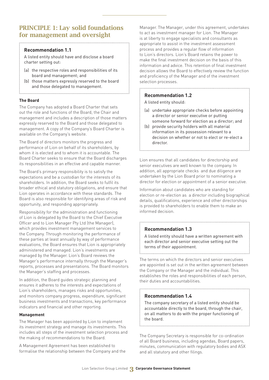# PRINCIPLE 1: Lay solid foundations for management and oversight

#### **Recommendation 1.1**

A listed entity should have and disclose a board charter setting out:

- (a) the respective roles and responsibilities of its board and management; and
- (b) those matters expressly reserved to the board and those delegated to management.

#### **The Board**

The Company has adopted a Board Charter that sets out the role and functions of the Board, the Chair and management and includes a description of those matters expressly reserved to the Board and those delegated to management. A copy of the Company's Board Charter is available on the Company's website.

The Board of directors monitors the progress and performance of Lion on behalf of its shareholders, by whom it is elected and to whom it is accountable. The Board Charter seeks to ensure that the Board discharges its responsibilities in an effective and capable manner.

The Board's primary responsibility is to satisfy the expectations and be a custodian for the interests of its shareholders. In addition, the Board seeks to fulfil its broader ethical and statutory obligations, and ensure that Lion operates in accordance with these standards. The Board is also responsible for identifying areas of risk and opportunity, and responding appropriately.

Responsibility for the administration and functioning of Lion is delegated by the Board to the Chief Executive Officer and to Lion Manager Pty Ltd (the Manager), which provides investment management services to the Company. Through monitoring the performance of these parties at least annually by way of performance evaluations, the Board ensures that Lion is appropriately administered and managed. Lion's investments are managed by the Manager. Lion's Board reviews the Manager's performance internally through the Manager's reports, processes and presentations. The Board monitors the Manager's staffing and processes.

In addition, the Board guides strategic planning and ensures it adheres to the interests and expectations of Lion's shareholders, manages risks and opportunities, and monitors company progress, expenditure, significant business investments and transactions, key performance indicators and financial and other reporting.

#### **Management**

The Manager has been appointed by Lion to implement its investment strategy and manage its investments. This includes all steps of the investment selection process and the making of recommendations to the Board.

A Management Agreement has been established to formalise the relationship between the Company and the

Manager. The Manager, under this agreement, undertakes to act as investment manager for Lion. The Manager is at liberty to engage specialists and consultants as appropriate to assist in the investment assessment process and provides a regular flow of information to Lion's directors. Lion's Board retains the power to make the final investment decision on the basis of this information and advice. This retention of final investment decision allows the Board to effectively review the function and proficiency of the Manager and of the investment selection processes.

#### **Recommendation 1.2**

A listed entity should:

(a) undertake appropriate checks before appointing a director or senior executive or putting someone forward for election as a director; and

(b) provide security holders with all material information in its possession relevant to a decision on whether or not to elect or re-elect a director

Lion ensures that all candidates for directorship and senior executives are well known to the company. In addition, all appropriate checks and due diligence are undertaken by the Lion Board prior to nominating a director for election or appointment of a senior executive.

Information about candidates who are standing for election or re-election as a director including biographical details, qualifications, experience and other directorships is provided to shareholders to enable them to make an informed decision.

#### **Recommendation 1.3**

A listed entity should have a written agreement with each director and senior executive setting out the terms of their appointment.

The terms on which the directors and senior executives are appointed is set out in the written agreement between the Company or the Manager and the individual. This establishes the roles and responsibilities of each person, their duties and accountabilities.

#### **Recommendation 1.4**

The company secretary of a listed entity should be accountable directly to the board, through the chair, on all matters to do with the proper functioning of the board.

The Company Secretary is responsible for co-ordination of all Board business, including agendas, Board papers, minutes, communication with regulatory bodies and ASX and all statutory and other filings.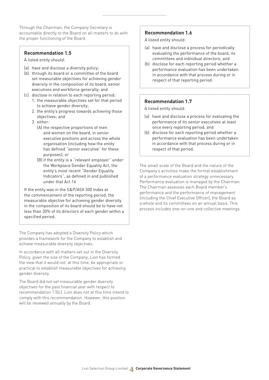Through the Chairman, the Company Secretary is accountable directly to the Board on all matters to do with the proper functioning of the Board.

#### **Recommendation 1.5**

A listed entity should:

- (a) have and disclose a diversity policy;
- (b) through its board or a committee of the board set measurable objectives for achieving gender diversity in the composition of its board, senior executives and workforce generally; and
- (c) disclose in relation to each reporting period: 1. the measurable objectives set for that period to achieve gender diversity;
	- 2. the entity's progress towards achieving those objectives; and
	- 3. either:
		- (A) the respective proportions of men and women on the board, in senior executive positions and across the whole organisation (including how the entity has defined "senior executive" for these purposes); or
		- (B) if the entity is a "relevant employer" under the Workplace Gender Equality Act, the entity's most recent "Gender Equality Indicators", as defined in and published under that Act.16

If the entity was in the S&P/ASX 300 Index at the commencement of the reporting period, the measurable objective for achieving gender diversity in the composition of its board should be to have not less than 30% of its directors of each gender within a specified period.

The Company has adopted a Diversity Policy which provides a framework for the Company to establish and achieve measurable diversity objectives.

In accordance with all matters set out in the Diversity Policy, given the size of the Company, Lion has formed the view that it would not, at this time, be appropriate or practical to establish measurable objectives for achieving gender diversity.

The Board did not set measurable gender diversity objectives for the past financial year with respect to recommendation 1.5(c). Lion does not at this time intend to comply with this recommendation. However, this position will be reviewed annually by the Board.

#### **Recommendation 1.6**

A listed entity should:

- (a) have and disclose a process for periodically evaluating the performance of the board, its committees and individual directors; and
- (b) disclose for each reporting period whether a performance evaluation has been undertaken in accordance with that process during or in respect of that reporting period.

#### **Recommendation 1.7**

A listed entity should:

- (a) have and disclose a process for evaluating the performance of its senior executives at least once every reporting period; and
- (b) disclose for each reporting period whether a performance evaluation has been undertaken in accordance with that process during or in respect of that period.

The small scale of the Board and the nature of the Company's activities make the formal establishment of a performance evaluation strategy unnecessary. Performance evaluation is managed by the Chairman. The Chairman assesses each Board member's performance and the performance of management (including the Chief Executive Officer), the Board as a whole and its committees on an annual basis. This process includes one-on-one and collective meetings.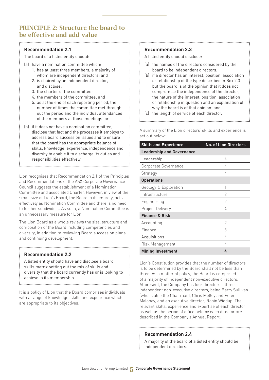# PRINCIPLE 2: Structure the board to be effective and add value

#### **Recommendation 2.1**

The board of a listed entity should:

- (a) have a nomination committee which:
	- 1. has at least three members, a majority of whom are independent directors; and
	- 2. is chaired by an independent director, and disclose:
	- 3. the charter of the committee;

- 4. the members of the committee; and
- 5. as at the end of each reporting period, the number of times the committee met throughout the period and the individual attendances of the members at those meetings; or
- (b) if it does not have a nomination committee, disclose that fact and the processes it employs to address board succession issues and to ensure that the board has the appropriate balance of skills, knowledge, experience, independence and diversity to enable it to discharge its duties and responsibilities effectively.

Lion recognises that Recommendation 2.1 of the Principles and Recommendations of the ASX Corporate Governance Council suggests the establishment of a Nomination Committee and associated Charter. However, in view of the small size of Lion's Board, the Board in its entirety, acts effectively as Nomination Committee and there is no need to further subdivide it. As such, a Nomination Committee is an unnecessary measure for Lion.

The Lion Board as a whole reviews the size, structure and composition of the Board including competencies and diversity, in addition to reviewing Board succession plans and continuing development.

#### **Recommendation 2.2**

A listed entity should have and disclose a board skills matrix setting out the mix of skills and diversity that the board currently has or is looking to achieve in its membership.

It is a policy of Lion that the Board comprises individuals with a range of knowledge, skills and experience which are appropriate to its objectives.

#### **Recommendation 2.3**

A listed entity should disclose:

(a) the names of the directors considered by the board to be independent directors;

- (b) if a director has an interest, position, association or relationship of the type described in Box 2.3 but the board is of the opinion that it does not compromise the independence of the director, the nature of the interest, position, association or relationship in question and an explanation of why the board is of that opinion; and
- (c) the length of service of each director.

A summary of the Lion directors' skills and experience is set out below:

| <b>Skills and Experience</b>     | <b>No. of Lion Directors</b> |
|----------------------------------|------------------------------|
| <b>Leadership and Governance</b> |                              |
| Leadership                       | 4                            |
| Corporate Governance             | 4                            |
| Strategy                         | 4                            |
| <b>Operations</b>                |                              |
| Geology & Exploration            | 1                            |
| Infrastructure                   | 2                            |
| Engineering                      | $\mathcal{P}$                |
| Project Delivery                 | 4                            |
| <b>Finance &amp; Risk</b>        |                              |
| Accounting                       | 2                            |
| Finance                          | 3                            |
| Acquisitions                     | 4                            |
| Risk Management                  | 4                            |
| <b>Mining Investment</b>         | 4                            |

Lion's Constitution provides that the number of directors is to be determined by the Board shall not be less than three. As a matter of policy, the Board is comprised of a majority of independent non-executive directors. At present, the Company has four directors – three independent non-executive directors, being Barry Sullivan (who is also the Chairman), Chris Melloy and Peter Maloney, and an executive director, Robin Widdup. The relevant skills, experience and expertise of each director as well as the period of office held by each director are described in the Company's Annual Report.

#### **Recommendation 2.4**

A majority of the board of a listed entity should be independent directors.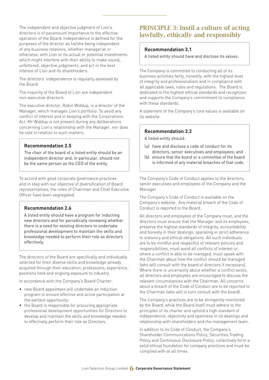The independent and objective judgment of Lion's directors is of paramount importance to the effective operation of the Board. Independence is defined for the purposes of the director as he/she being independent of any business relations, whether managerial or otherwise, with Lion or its actual or potential investments which might interfere with their ability to make sound, unfettered, objective judgments, and act in the best interest of Lion and its shareholders.

The directors' independence is regularly assessed by the Board.

The majority of the Board of Lion are independent non-executive directors.

The executive director, Robin Widdup, is a director of the Manager, which manages Lion's portfolio. To avoid any conflict of interest and in keeping with the Corporations Act, Mr Widdup is not present during any deliberations concerning Lion's relationship with the Manager, nor does he vote in relation to such matters.

#### **Recommendation 2.5**

The chair of the board of a listed entity should be an independent director and, in particular, should not be the same person as the CEO of the entity.

To accord with good corporate governance practices and in step with our objective of diversification of Board representatives, the roles of Chairman and Chief Executive Officer have been segregated.

#### **Recommendation 2.6**

A listed entity should have a program for inducting new directors and for periodically reviewing whether there is a need for existing directors to undertake professional development to maintain the skills and knowledge needed to perform their role as directors effectively.

The directors of the Board are specifically and individually selected for their diverse skills and knowledge already acquired through their education, professions, experience, positions held and ongoing exposure to industry.

In accordance with the Company's Board Charter:

- new Board appointees will undertake an induction program to ensure effective and active participation at the earliest opportunity;
- the Board is responsible for procuring appropriate professional development opportunities for Directors to develop and maintain the skills and knowledge needed to effectively perform their role as Directors.

# PRINCIPLE 3: Instil a culture of acting lawfully, ethically and responsibly

#### **Recommendation 3.1**

A listed entity should have and disclose its values.

The Company is committed to conducting all of its business activities fairly, honestly, with the highest level of integrity and professionalism and in compliance with all applicable laws, rules and regulations. The Board is dedicated to the highest ethical standards and recognizes and supports the Company's commitment to compliance with these standards.

A statement of the Company's core values is available on its website.

#### **Recommendation 3.2**

A listed entity should:

- (a) have and disclose a code of conduct for its directors, senior executives and employees; and
- (b) ensure that the board or a committee of the board is informed of any material breaches of that code.

The Company's Code of Conduct applies to the directors, senior executives and employees of the Company and the Manager.

 $\frac{1}{2}$  , the contract of the contract of the contract of the contract of the contract of the contract of the contract of the contract of the contract of the contract of the contract of the contract of the contract of t

The Company's Code of Conduct is available on the Company's website. Any material breach of the Code of Conduct is reported to the Board.

All directors and employees of the Company must, and the directors must ensure that the Manager and its employees, preserve the highest standards of integrity, accountability and honesty in their dealings, operating in strict adherence to statutory and ethical obligations. All such individuals are to be mindful and respectful of relevant policies and responsibilities, must avoid all conflicts of interest or, where a conflict is able to be managed, must speak with the Chairman about how the conflict should be managed (who will consult with the board of directors if necessary). Where there is uncertainty about whether a conflict exists, all directors and employees are encouraged to discuss the relevant circumstances with the Chairman. All concerns about a breach of the Code of Conduct are to be reported to the Chairman (who will in turn consult with the board).

The Company's practices are to be stringently monitored by the Board, while the Board itself must adhere to the principles of its charter and uphold a high standard of independence, objectivity and openness in its dealings and relationship with shareholders and the management team.

In addition to its Code of Conduct, the Company's Shareholder Communications Policy, Securities Trading Policy and Continuous Disclosure Policy, collectively form a solid ethical foundation for company practices and must be complied with at all times.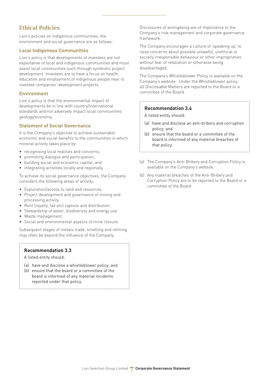# Ethical Policies

Lion's policies on indigenous communities, the environment and social governance are as follows:

#### **Local Indigenous Communities**

Lion's policy is that developments of investees are not exploitative of local and indigenous communities and must assist local communities such through symbiotic project development. Investees are to have a focus on health, education and employment of indigenous people near to investee companies' development projects.

#### **Environment**

Lion's policy is that the environmental impact of developments be in line with country/international standards and not adversely impact local communities' geology/economy.

#### **Statement of Social Governance**

It is the Company's objective to achieve sustainable economic and social benefits to the communities in which mineral activity takes place by:

- recognising local realities and concerns;
- promoting dialogue and participation;
- building social and economic capital; and
- integrating activities locally and regionally.

To achieve its social governance objectives, the Company considers the following areas of activity:

- Exploration/access to land and resources.
- Project development and governance of mining and processing activity.
- Rent (royalty, tax etc) capture and distribution.
- Stewardship of water, biodiversity and energy use.
- Waste management.
- Social and environmental aspects of mine closure.

Subsequent stages of metals trade, smelting and refining may often be beyond the influence of the Company.

#### **Recommendation 3.3**

A listed entity should:

- (a) have and disclose a whistleblower policy; and
- (b) ensure that the board or a committee of the board is informed of any material incidents reported under that policy.

Disclosures of wrongdoing are of importance to the Company's risk management and corporate governance framework.

The Company encourages a culture of 'speaking up' to raise concerns about possible unlawful, unethical or socially irresponsible behaviour or other improprieties without fear of retaliation or otherwise being disadvantaged.

The Company's Whistleblower Policy is available on the Company's website. Under the Whistleblower policy, all Disclosable Matters are reported to the Board or a committee of the Board.

#### **Recommendation 3.4**

A listed entity should:

- (a) have and disclose an anti-bribery and corruption policy; and
- (b) ensure that the board or a committee of the board is informed of any material breaches of that policy.
- (a) The Company's Anti-Bribery and Corruption Policy is available on the Company's website.
- (b) Any material breaches of the Anti-Bribery and Corruption Policy are to be reported to the Board or a committee of the Board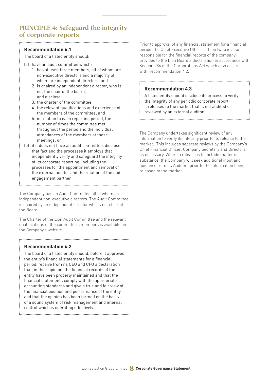# PRINCIPLE 4: Safeguard the integrity of corporate reports

#### **Recommendation 4.1**

The board of a listed entity should:

- (a) have an audit committee which:
	- 1. has at least three members, all of whom are non-executive directors and a majority of whom are independent directors; and
	- 2. is chaired by an independent director, who is not the chair of the board, and disclose:
	- 3. the charter of the committee;
	- 4. the relevant qualifications and experience of the members of the committee; and
	- 5. in relation to each reporting period, the number of times the committee met throughout the period and the individual attendances of the members at those meetings; or
- (b) if it does not have an audit committee, disclose that fact and the processes it employs that independently verify and safeguard the integrity of its corporate reporting, including the processes for the appointment and removal of the external auditor and the rotation of the audit engagement partner.

The Company has an Audit Committee all of whom are independent non-executive directors. The Audit Committee is chaired by an independent director who is not chair of the Board.

The Charter of the Lion Audit Committee and the relevant qualifications of the committee's members is available on the Company's website.

#### **Recommendation 4.2**

The board of a listed entity should, before it approves the entity's financial statements for a financial period, receive from its CEO and CFO a declaration that, in their opinion, the financial records of the entity have been properly maintained and that the financial statements comply with the appropriate accounting standards and give a true and fair view of the financial position and performance of the entity and that the opinion has been formed on the basis of a sound system of risk management and internal control which is operating effectively.

Prior to approval of any financial statement for a financial period, the Chief Executive Officer of Lion (who is also responsible for the financial reports of the company) provides to the Lion Board a declaration in accordance with Section 286 of the Corporations Act which also accords with Recommendation 4.2.

#### **Recommendation 4.3**

A listed entity should disclose its process to verify the integrity of any periodic corporate report it releases to the market that is not audited or reviewed by an external auditor.

The Company undertakes significant review of any information to verify its integrity prior to its release to the market. This includes separate reviews by the Company's Chief Financial Officer, Company Secretary and Directors as necessary. Where a release is to include matter of substance, the Company will seek additional input and guidance from its Auditors prior to the information being released to the market.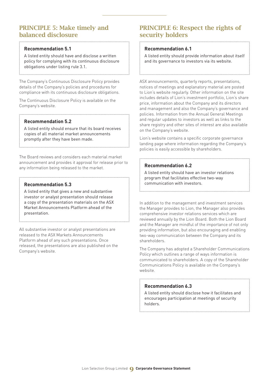# PRINCIPLE 5: Make timely and balanced disclosure

#### **Recommendation 5.1**

A listed entity should have and disclose a written policy for complying with its continuous disclosure obligations under listing rule 3.1.

The Company's Continuous Disclosure Policy provides details of the Company's policies and procedures for compliance with its continuous disclosure obligations.

The Continuous Disclosure Policy is available on the Company's website.

#### **Recommendation 5.2**

A listed entity should ensure that its board receives copies of all material market announcements promptly after they have been made.

The Board reviews and considers each material market announcement and provides it approval for release prior to any information being released to the market.

#### **Recommendation 5.3**

A listed entity that gives a new and substantive investor or analyst presentation should release a copy of the presentation materials on the ASX Market Announcements Platform ahead of the presentation.

All substantive investor or analyst presentations are released to the ASX Markets Announcements Platform ahead of any such presentations. Once released, the presentations are also published on the Company's website.

## PRINCIPLE 6: Respect the rights of security holders

#### **Recommendation 6.1**

A listed entity should provide information about itself and its governance to investors via its website.

ASX announcements, quarterly reports, presentations, notices of meetings and explanatory material are posted to Lion's website regularly. Other information on the site includes details of Lion's investment portfolio, Lion's share price, information about the Company and its directors and management and also the Company's governance and policies. Information from the Annual General Meetings and regular updates to investors as well as links to the share registry and other sites of interest are also available on the Company's website.

Lion's website contains a specific corporate governance landing page where information regarding the Company's policies is easily accessible by shareholders.

#### **Recommendation 6.2**

A listed entity should have an investor relations program that facilitates effective two-way communication with investors.

In addition to the management and investment services the Manager provides to Lion, the Manager also provides comprehensive investor relations services which are reviewed annually by the Lion Board. Both the Lion Board and the Manager are mindful of the importance of not only providing information, but also encouraging and enabling two-way communication between the Company and its shareholders.

The Company has adopted a Shareholder Communications Policy which outlines a range of ways information is communicated to shareholders. A copy of the Shareholder Communications Policy is available on the Company's website.

#### **Recommendation 6.3**

A listed entity should disclose how it facilitates and encourages participation at meetings of security holders.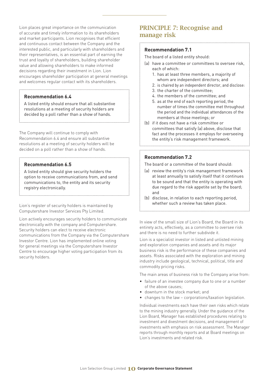Lion places great importance on the communication of accurate and timely information to its shareholders and market participants. Lion recognises that efficient and continuous contact between the Company and the interested public, and particularly with shareholders and their representatives, is an essential part of earning the trust and loyalty of shareholders, building shareholder value and allowing shareholders to make informed decisions regarding their investment in Lion. Lion encourages shareholder participation at general meetings and welcomes regular contact with its shareholders.

#### **Recommendation 6.4**

A listed entity should ensure that all substantive resolutions at a meeting of security holders are decided by a poll rather than a show of hands.

The Company will continue to comply with Recommendation 6.4 and ensure all substantive resolutions at a meeting of security holders will be decided on a poll rather than a show of hands.

#### **Recommendation 6.5**

A listed entity should give security holders the option to receive communications from, and send communications to, the entity and its security registry electronically.

Lion's register of security holders is maintained by Computershare Investor Services Pty Limited.

Lion actively encourages security holders to communicate electronically with the company and Computershare. Security holders can elect to receive electronic communications from the Company via the Computershare Investor Centre. Lion has implemented online voting for general meetings via the Computershare Investor Centre to encourage higher voting participation from its security holders.

# PRINCIPLE 7: Recognise and manage risk

#### **Recommendation 7.1**

The board of a listed entity should:

- (a) have a committee or committees to oversee risk, each of which:
	- 1. has at least three members, a majority of whom are independent directors; and
	- 2. is chaired by an independent director, and disclose:
	- 3. the charter of the committee;
	- 4. the members of the committee; and
	- 5. as at the end of each reporting period, the number of times the committee met throughout the period and the individual attendances of the members at those meetings; or
- (b) if it does not have a risk committee or committees that satisfy (a) above, disclose that fact and the processes it employs for overseeing the entity's risk management framework.

#### **Recommendation 7.2**

The board or a committee of the board should:

- (a) review the entity's risk management framework at least annually to satisfy itself that it continues to be sound and that the entity is operating with due regard to the risk appetite set by the board; and
- (b) disclose, in relation to each reporting period, whether such a review has taken place.

In view of the small size of Lion's Board, the Board in its entirety acts, effectively, as a committee to oversee risk and there is no need to further subdivide it.

Lion is a specialist investor in listed and unlisted mining and exploration companies and assets and its major business risk is the performance of these companies and assets. Risks associated with the exploration and mining industry include geological, technical, political, title and commodity pricing risks.

The main areas of business risk to the Company arise from:

- failure of an investee company due to one or a number of the above causes;
- downturn in the stock market; and
- changes to the law corporations/taxation legislation.

Individual investments each have their own risks which relate to the mining industry generally. Under the guidance of the Lion Board, Manager has established procedures relating to investment and divestment decisions, and management of investments with emphasis on risk assessment. The Manager reports through monthly reports and at Board meetings on Lion's investments and related risk.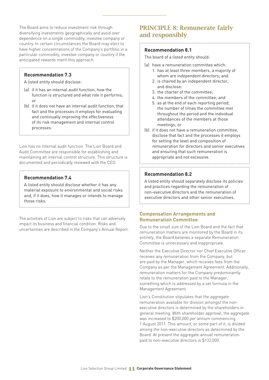The Board aims to reduce investment risk through diversifying investments geographically and avoid over dependence on a single commodity, investee company or country. In certain circumstances the Board may elect to have higher concentrations of the Company's portfolio in a particular commodity, investee company or country if the anticipated rewards merit this approach.

#### **Recommendation 7.3**

A listed entity should disclose:

- (a) if it has an internal audit function, how the function is structured and what role it performs; or
- (b) if it does not have an internal audit function, that fact and the processes it employs for evaluating and continually improving the effectiveness of its risk management and internal control processes.

Lion has no internal audit function. The Lion Board and Audit Committee are responsible for establishing and maintaining an internal control structure. This structure is documented and periodically reviewed with the CEO.

#### **Recommendation 7.4**

A listed entity should disclose whether it has any material exposure to environmental and social risks and, if it does, how it manages or intends to manage those risks.

The activities of Lion are subject to risks that can adversely impact its business and financial condition. Risks and uncertainties are described in the Company's Annual Report.

# PRINCIPLE 8: Remunerate fairly and responsibly

#### **Recommendation 8.1**

The board of a listed entity should:

- (a) have a remuneration committee which:
	- 1. has at least three members, a majority of whom are independent directors; and
	- 2. is chaired by an independent director, and disclose:
	- 3. the charter of the committee;
	- 4. the members of the committee; and
	- 5. as at the end of each reporting period, the number of times the committee met throughout the period and the individual attendances of the members at those meetings; or
- (b) if it does not have a remuneration committee, disclose that fact and the processes it employs for setting the level and composition of remuneration for directors and senior executives and ensuring that such remuneration is appropriate and not excessive.

#### **Recommendation 8.2**

A listed entity should separately disclose its policies and practices regarding the remuneration of non-executive directors and the remuneration of executive directors and other senior executives.

#### **Compensation Arrangements and Remuneration Committee**

Due to the small size of the Lion Board and the fact that remuneration matters are monitored by the Board in its entirety, the Board believes a separate Remuneration Committee is unnecessary and inappropriate.

Neither the Executive Director nor Chief Executive Officer receives any remuneration from the Company, but are paid by the Manager, which receives fees from the Company as per the Management Agreement. Additionally, remuneration matters for the Company predominantly relate to the remuneration paid to the Manager, something which is addressed by a set formula in the Management Agreement.

Lion's Constitution stipulates that the aggregate remuneration available for division amongst the nonexecutive directors is determined by the shareholders in general meeting. With shareholder approval, the aggregate was increased to \$200,000 per annum commencing 1 August 2011. This amount, or some part of it, is divided among the non-executive directors as determined by the Board. At present the aggregate annual remuneration paid to non-executive directors is \$132,000.